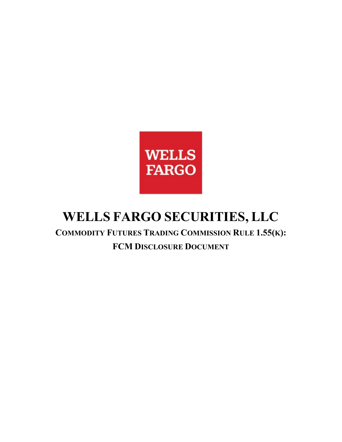

## **WELLS FARGO SECURITIES, LLC**

 **COMMODITY FUTURES TRADING COMMISSION RULE 1.55(K): FCM DISCLOSURE DOCUMENT**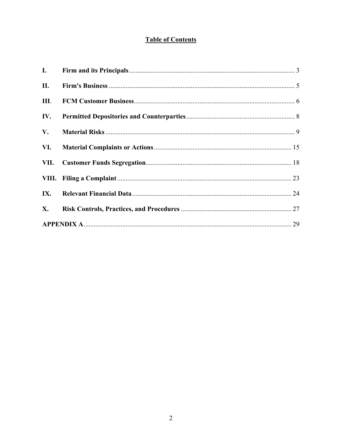#### **Table of Contents**

| $\mathbf{I}$ . |  |
|----------------|--|
| II.            |  |
| Ш.             |  |
| IV.            |  |
| V.             |  |
| VI.            |  |
| VII.           |  |
|                |  |
| IX.            |  |
| <b>X.</b>      |  |
|                |  |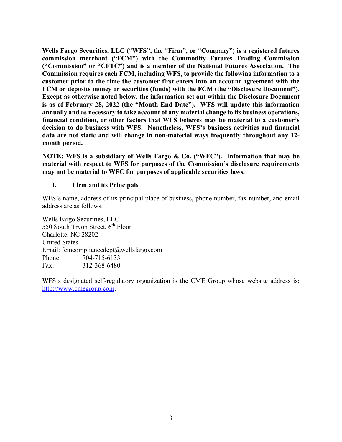**is as of February 28, 2022 (the "Month End Date"). WFS will update this information decision to do business with WFS. Nonetheless, WFS's business activities and financial**  month period. **Wells Fargo Securities, LLC ("WFS", the "Firm", or "Company") is a registered futures commission merchant ("FCM") with the Commodity Futures Trading Commission ("Commission" or "CFTC") and is a member of the National Futures Association. The Commission requires each FCM, including WFS, to provide the following information to a customer prior to the time the customer first enters into an account agreement with the FCM or deposits money or securities (funds) with the FCM (the "Disclosure Document"). Except as otherwise noted below, the information set out within the Disclosure Document annually and as necessary to take account of any material change to its business operations, financial condition, or other factors that WFS believes may be material to a customer's data are not static and will change in non-material ways frequently throughout any 12-**

month period.<br>NOTE: WFS is a subsidiary of Wells Fargo & Co. ("WFC"). Information that may be **material with respect to WFS for purposes of the Commission's disclosure requirements may not be material to WFC for purposes of applicable securities laws.** 

#### <span id="page-2-0"></span>**I. Firm and its Principals**

WFS's name, address of its principal place of business, phone number, fax number, and email address are as follows.

Wells Fargo Securities, LLC 550 South Tryon Street, 6<sup>th</sup> Floor Charlotte, NC 28202 United States Email: [fcmcompliancedept@wellsfargo.com](mailto:fcmcompliancedept@wellsfargo.com) Phone: 704-715-6133 Fax: 312-368-6480

 WFS's designated self-regulatory organization is the CME Group whose website address is: [http://www.cmegroup.com.](https://www.cmegroup.com/)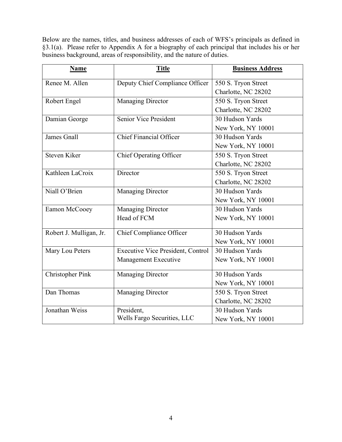Below are the names, titles, and business addresses of each of WFS's principals as defined in §3.1(a). Please refer to Appendix A for a biography of each principal that includes his or her business background, areas of responsibility, and the nature of duties.

| Name                    | <b>Title</b>                             | <b>Business Address</b> |  |  |
|-------------------------|------------------------------------------|-------------------------|--|--|
| Renee M. Allen          | Deputy Chief Compliance Officer          | 550 S. Tryon Street     |  |  |
|                         |                                          | Charlotte, NC 28202     |  |  |
| Robert Engel            | <b>Managing Director</b>                 | 550 S. Tryon Street     |  |  |
|                         |                                          | Charlotte, NC 28202     |  |  |
| Damian George           | <b>Senior Vice President</b>             | 30 Hudson Yards         |  |  |
|                         |                                          | New York, NY 10001      |  |  |
| James Gnall             | Chief Financial Officer                  | 30 Hudson Yards         |  |  |
|                         |                                          | New York, NY 10001      |  |  |
| Steven Kiker            | <b>Chief Operating Officer</b>           | 550 S. Tryon Street     |  |  |
|                         |                                          | Charlotte, NC 28202     |  |  |
| Kathleen LaCroix        | Director                                 | 550 S. Tryon Street     |  |  |
|                         |                                          | Charlotte, NC 28202     |  |  |
| Niall O'Brien           | <b>Managing Director</b>                 | 30 Hudson Yards         |  |  |
|                         |                                          | New York, NY 10001      |  |  |
| Eamon McCooey           | <b>Managing Director</b>                 | 30 Hudson Yards         |  |  |
|                         | Head of FCM                              | New York, NY 10001      |  |  |
| Robert J. Mulligan, Jr. | Chief Compliance Officer                 | 30 Hudson Yards         |  |  |
|                         |                                          | New York, NY 10001      |  |  |
| Mary Lou Peters         | <b>Executive Vice President, Control</b> | 30 Hudson Yards         |  |  |
|                         | Management Executive                     | New York, NY 10001      |  |  |
| Christopher Pink        | <b>Managing Director</b>                 | 30 Hudson Yards         |  |  |
|                         |                                          | New York, NY 10001      |  |  |
| Dan Thomas              | <b>Managing Director</b>                 | 550 S. Tryon Street     |  |  |
|                         |                                          | Charlotte, NC 28202     |  |  |
| Jonathan Weiss          | President,                               | 30 Hudson Yards         |  |  |
|                         | Wells Fargo Securities, LLC              | New York, NY 10001      |  |  |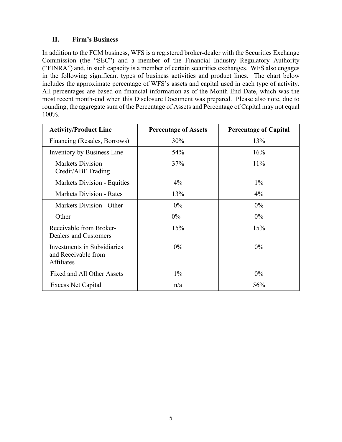#### <span id="page-4-1"></span>**II. Firm's Business**

 ("FINRA") and, in such capacity is a member of certain securities exchanges. WFS also engages includes the approximate percentage of WFS's assets and capital used in each type of activity. includes the approximate percentage of WFS's assets and capital used in each type of activity. All percentages are based on financial information as of the Month End Date, which was the most recent month-end when this Disclosure Document was prepared. Please also note, due to In addition to the FCM business, WFS is a registered broker-dealer with the Securities Exchange Commission (the "SEC") and a member of the Financial Industry Regulatory Authority in the following significant types of business activities and product lines. The chart below rounding, the aggregate sum of the Percentage of Assets and Percentage of Capital may not equal 100%.

<span id="page-4-0"></span>

| <b>Activity/Product Line</b>                                            | <b>Percentage of Assets</b> | <b>Percentage of Capital</b> |  |
|-------------------------------------------------------------------------|-----------------------------|------------------------------|--|
| Financing (Resales, Borrows)                                            | 30%                         | 13%                          |  |
| Inventory by Business Line                                              | 54%                         | 16%                          |  |
| Markets Division –<br>Credit/ABF Trading                                | 37%                         | 11%                          |  |
| Markets Division - Equities                                             | $4\%$                       | $1\%$                        |  |
| Markets Division - Rates                                                | 13%                         | $4\%$                        |  |
| Markets Division - Other                                                | $0\%$                       | $0\%$                        |  |
| Other                                                                   | $0\%$                       | $0\%$                        |  |
| Receivable from Broker-<br>Dealers and Customers                        | 15%                         | 15%                          |  |
| Investments in Subsidiaries<br>and Receivable from<br><b>Affiliates</b> | $0\%$                       | $0\%$                        |  |
| Fixed and All Other Assets                                              | $1\%$                       | $0\%$                        |  |
| <b>Excess Net Capital</b>                                               | n/a                         | 56%                          |  |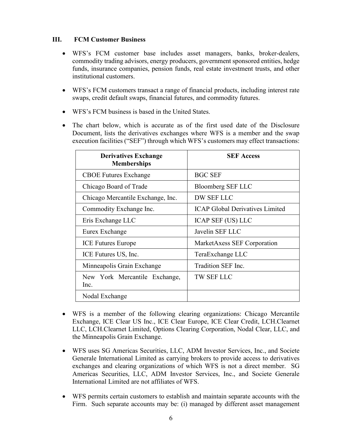#### **III. FCM Customer Business**

- WFS's FCM customer base includes asset managers, banks, broker-dealers, commodity trading advisors, energy producers, government sponsored entities, hedge funds, insurance companies, pension funds, real estate investment trusts, and other institutional customers.
- WFS's FCM customers transact a range of financial products, including interest rate swaps, credit default swaps, financial futures, and commodity futures.
- WFS's FCM business is based in the United States.
- Document, lists the derivatives exchanges where WFS is a member and the swap The chart below, which is accurate as of the first used date of the Disclosure execution facilities ("SEF") through which WFS's customers may effect transactions:

| <b>Derivatives Exchange</b><br><b>Memberships</b> | <b>SEF Access</b>                      |  |  |
|---------------------------------------------------|----------------------------------------|--|--|
| <b>CBOE Futures Exchange</b>                      | <b>BGC SEF</b>                         |  |  |
| Chicago Board of Trade                            | <b>Bloomberg SEF LLC</b>               |  |  |
| Chicago Mercantile Exchange, Inc.                 | <b>DW SEF LLC</b>                      |  |  |
| Commodity Exchange Inc.                           | <b>ICAP Global Derivatives Limited</b> |  |  |
| Eris Exchange LLC                                 | <b>ICAP SEF (US) LLC</b>               |  |  |
| Eurex Exchange                                    | Javelin SEF LLC                        |  |  |
| <b>ICE</b> Futures Europe                         | MarketAxess SEF Corporation            |  |  |
| ICE Futures US, Inc.                              | TeraExchange LLC                       |  |  |
| Minneapolis Grain Exchange                        | Tradition SEF Inc.                     |  |  |
| New York Mercantile Exchange,<br>Inc.             | <b>TW SEF LLC</b>                      |  |  |
| Nodal Exchange                                    |                                        |  |  |

- WFS is a member of the following clearing organizations: Chicago Mercantile Exchange, ICE Clear US Inc., ICE Clear Europe, ICE Clear Credit, LCH.Clearnet LLC, LCH.Clearnet Limited, Options Clearing Corporation, Nodal Clear, LLC, and the Minneapolis Grain Exchange.
- Generale International Limited as carrying brokers to provide access to derivatives exchanges and clearing organizations of which WFS is not a direct member. SG International Limited are not affiliates of WFS. • WFS uses SG Americas Securities, LLC, ADM Investor Services, Inc., and Societe Americas Securities, LLC, ADM Investor Services, Inc., and Societe Generale
- WFS permits certain customers to establish and maintain separate accounts with the Firm. Such separate accounts may be: (i) managed by different asset management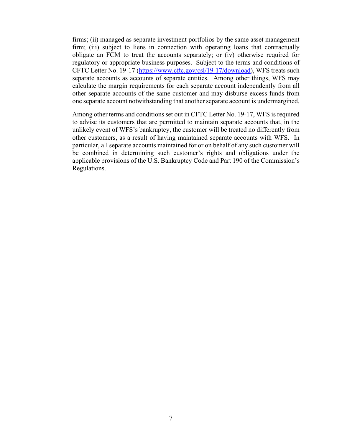separate accounts as accounts of separate entities. Among other things, WFS may firms; (ii) managed as separate investment portfolios by the same asset management firm; (iii) subject to liens in connection with operating loans that contractually obligate an FCM to treat the accounts separately; or (iv) otherwise required for regulatory or appropriate business purposes. Subject to the terms and conditions of CFTC Letter No. 19-17 [\(https://www.cftc.gov/csl/19-17/download\)](https://www.cftc.gov/csl/19-17/download), WFS treats such calculate the margin requirements for each separate account independently from all other separate accounts of the same customer and may disburse excess funds from one separate account notwithstanding that another separate account is undermargined.

 Among other terms and conditions set out in CFTC Letter No. 19-17, WFS is required other customers, as a result of having maintained separate accounts with WFS. In particular, all separate accounts maintained for or on behalf of any such customer will to advise its customers that are permitted to maintain separate accounts that, in the unlikely event of WFS's bankruptcy, the customer will be treated no differently from be combined in determining such customer's rights and obligations under the applicable provisions of the U.S. Bankruptcy Code and Part 190 of the Commission's Regulations.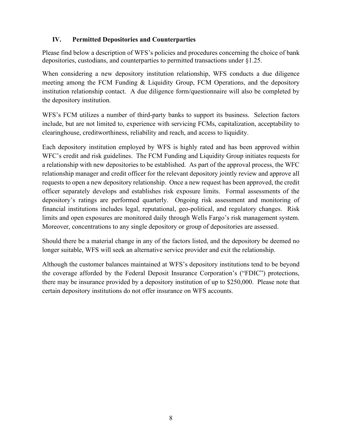#### <span id="page-7-0"></span>**IV. Permitted Depositories and Counterparties**

Please find below a description of WFS's policies and procedures concerning the choice of bank depositories, custodians, and counterparties to permitted transactions under §1.25.

 institution relationship contact. A due diligence form/questionnaire will also be completed by When considering a new depository institution relationship, WFS conducts a due diligence meeting among the FCM Funding & Liquidity Group, FCM Operations, and the depository the depository institution.

WFS's FCM utilizes a number of third-party banks to support its business. Selection factors include, but are not limited to, experience with servicing FCMs, capitalization, acceptability to clearinghouse, creditworthiness, reliability and reach, and access to liquidity.

 depository's ratings are performed quarterly. Ongoing risk assessment and monitoring of limits and open exposures are monitored daily through Wells Fargo's risk management system. limits and open exposures are monitored daily through Wells Fargo's risk management system. Moreover, concentrations to any single depository or group of depositories are assessed. Each depository institution employed by WFS is highly rated and has been approved within WFC's credit and risk guidelines. The FCM Funding and Liquidity Group initiates requests for a relationship with new depositories to be established. As part of the approval process, the WFC relationship manager and credit officer for the relevant depository jointly review and approve all requests to open a new depository relationship. Once a new request has been approved, the credit officer separately develops and establishes risk exposure limits. Formal assessments of the financial institutions includes legal, reputational, geo-political, and regulatory changes. Risk

Should there be a material change in any of the factors listed, and the depository be deemed no longer suitable, WFS will seek an alternative service provider and exit the relationship.

Although the customer balances maintained at WFS's depository institutions tend to be beyond the coverage afforded by the Federal Deposit Insurance Corporation's ("FDIC") protections, there may be insurance provided by a depository institution of up to \$250,000. Please note that certain depository institutions do not offer insurance on WFS accounts.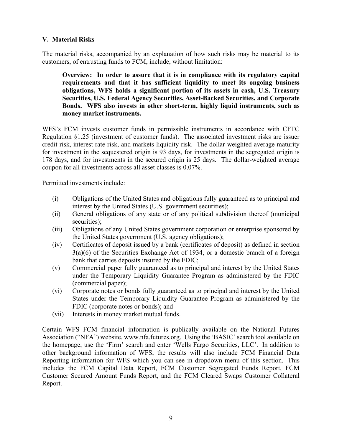#### <span id="page-8-0"></span> **V. Material Risks**

 customers, of entrusting funds to FCM, include, without limitation: The material risks, accompanied by an explanation of how such risks may be material to its

 **money market instruments. Overview: In order to assure that it is in compliance with its regulatory capital requirements and that it has sufficient liquidity to meet its ongoing business obligations, WFS holds a significant portion of its assets in cash, U.S. Treasury Securities, U.S. Federal Agency Securities, Asset-Backed Securities, and Corporate Bonds. WFS also invests in other short-term, highly liquid instruments, such as** 

 Regulation §1.25 (investment of customer funds). The associated investment risks are issuer credit risk, interest rate risk, and markets liquidity risk. The dollar-weighted average maturity WFS's FCM invests customer funds in permissible instruments in accordance with CFTC for investment in the sequestered origin is 93 days, for investments in the segregated origin is 178 days, and for investments in the secured origin is 25 days. The dollar-weighted average coupon for all investments across all asset classes is 0.07%.

Permitted investments include:

- (i) Obligations of the United States and obligations fully guaranteed as to principal and interest by the United States (U.S. government securities);
- (ii) General obligations of any state or of any political subdivision thereof (municipal securities);
- the United States government (U.S. agency obligations); (iii) Obligations of any United States government corporation or enterprise sponsored by
- bank that carries deposits insured by the FDIC;  $(iv)$  Certificates of deposit issued by a bank (certificates of deposit) as defined in section 3(a)(6) of the Securities Exchange Act of 1934, or a domestic branch of a foreign
- (v) Commercial paper fully guaranteed as to principal and interest by the United States under the Temporary Liquidity Guarantee Program as administered by the FDIC (commercial paper);
- (vi) Corporate notes or bonds fully guaranteed as to principal and interest by the United States under the Temporary Liquidity Guarantee Program as administered by the FDIC (corporate notes or bonds); and
- (vii) Interests in money market mutual funds.

 the homepage, use the 'Firm' search and enter 'Wells Fargo Securities, LLC'. In addition to Reporting information for WFS which you can see in dropdown menu of this section. This Certain WFS FCM financial information is publically available on the National Futures Association ("NFA") website, [www.nfa.futures.org.](http://www.nfa.futures.org/) Using the 'BASIC' search tool available on other background information of WFS, the results will also include FCM Financial Data includes the FCM Capital Data Report, FCM Customer Segregated Funds Report, FCM Customer Secured Amount Funds Report, and the FCM Cleared Swaps Customer Collateral Report.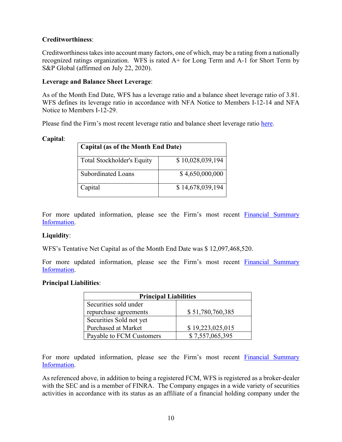#### **Creditworthiness**:

Creditworthiness takes into account many factors, one of which, may be a rating from a nationally recognized ratings organization. WFS is rated A+ for Long Term and A-1 for Short Term by S&P Global (affirmed on July 22, 2020).

#### **Leverage and Balance Sheet Leverage**:

 As of the Month End Date, WFS has a leverage ratio and a balance sheet leverage ratio of 3.81. WFS defines its leverage ratio in accordance with NFA Notice to Members I-12-14 and NFA Notice to Members I-12-29.

Please find the Firm's most recent leverage ratio and balance sheet leverage ratio [here.](https://www08.wellsfargomedia.com/assets/pdf/commercial/securities/fcm-disclosures/monthly-supplemental-info.pdf)

#### **Capital**:

| Capital (as of the Month End Date) |                  |  |  |
|------------------------------------|------------------|--|--|
| <b>Total Stockholder's Equity</b>  | \$10,028,039,194 |  |  |
| Subordinated Loans                 | \$4,650,000,000  |  |  |
| Capital                            | \$14,678,039,194 |  |  |

For more updated information, please see the Firm's most recent [Financial Summary](https://www.wellsfargo.com/com/securities/markets/clearing-services/fcm-disclosures)  [Information.](https://www.wellsfargo.com/com/securities/markets/clearing-services/fcm-disclosures)

#### Liquidity:

WFS's Tentative Net Capital as of the Month End Date was \$ 12,097,468,520.

For more updated information, please see the Firm's most recent [Financial Summary](https://www.wellsfargo.com/com/securities/markets/clearing-services/fcm-disclosures)  [Information.](https://www.wellsfargo.com/com/securities/markets/clearing-services/fcm-disclosures)

#### **Principal Liabilities**:

| <b>Principal Liabilities</b> |                  |  |  |
|------------------------------|------------------|--|--|
| Securities sold under        |                  |  |  |
| repurchase agreements        | \$51,780,760,385 |  |  |
| Securities Sold not yet      |                  |  |  |
| <b>Purchased at Market</b>   | \$19,223,025,015 |  |  |
| Payable to FCM Customers     | \$7,557,065,395  |  |  |

For more updated information, please see the Firm's most recent [Financial Summary](https://www.wellsfargo.com/com/securities/markets/clearing-services/fcm-disclosures)  [Information.](https://www.wellsfargo.com/com/securities/markets/clearing-services/fcm-disclosures)

As referenced above, in addition to being a registered FCM, WFS is registered as a broker-dealer with the SEC and is a member of FINRA. The Company engages in a wide variety of securities activities in accordance with its status as an affiliate of a financial holding company under the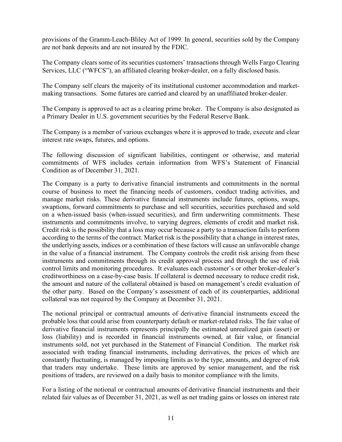provisions of the Gramm-Leach-Bliley Act of 1999. In general, securities sold by the Company are not bank deposits and are not insured by the FDIC.

The Company clears some of its securities customers' transactions through Wells Fargo Clearing Services, LLC ("WFCS"), an affiliated clearing broker-dealer, on a fully disclosed basis.

The Company self clears the majority of its institutional customer accommodation and marketmaking transactions. Some futures are carried and cleared by an unaffiliated broker-dealer.

a Primary Dealer in U.S. government securities by the Federal Reserve Bank. The Company is approved to act as a clearing prime broker. The Company is also designated as

The Company is a member of various exchanges where it is approved to trade, execute and clear interest rate swaps, futures, and options.

 commitments of WFS includes certain information from WFS's Statement of Financial The following discussion of significant liabilities, contingent or otherwise, and material Condition as of December 31, 2021.

 swaptions, forward commitments to purchase and sell securities, securities purchased and sold control limits and monitoring procedures. It evaluates each customer's or other broker-dealer's The Company is a party to derivative financial instruments and commitments in the normal course of business to meet the financing needs of customers, conduct trading activities, and manage market risks. These derivative financial instruments include futures, options, swaps, on a when-issued basis (when-issued securities), and firm underwriting commitments. These instruments and commitments involve, to varying degrees, elements of credit and market risk. Credit risk is the possibility that a loss may occur because a party to a transaction fails to perform according to the terms of the contract. Market risk is the possibility that a change in interest rates, the underlying assets, indices or a combination of these factors will cause an unfavorable change in the value of a financial instrument. The Company controls the credit risk arising from these instruments and commitments through its credit approval process and through the use of risk creditworthiness on a case-by-case basis. If collateral is deemed necessary to reduce credit risk, the amount and nature of the collateral obtained is based on management's credit evaluation of the other party. Based on the Company's assessment of each of its counterparties, additional collateral was not required by the Company at December 31, 2021.

 associated with trading financial instruments, including derivatives, the prices of which are positions of traders, are reviewed on a daily basis to monitor compliance with the limits. The notional principal or contractual amounts of derivative financial instruments exceed the probable loss that could arise from counterparty default or market-related risks. The fair value of derivative financial instruments represents principally the estimated unrealized gain (asset) or loss (liability) and is recorded in financial instruments owned, at fair value, or financial instruments sold, not yet purchased in the Statement of Financial Condition. The market risk constantly fluctuating, is managed by imposing limits as to the type, amounts, and degree of risk that traders may undertake. These limits are approved by senior management, and the risk

For a listing of the notional or contractual amounts of derivative financial instruments and their related fair values as of December 31, 2021, as well as net trading gains or losses on interest rate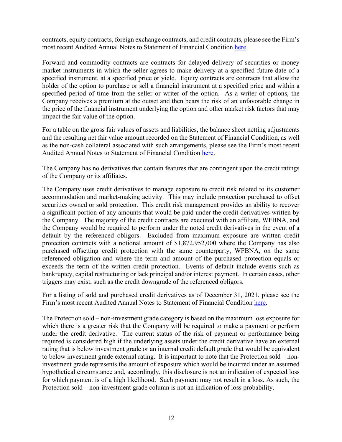most recent Audited Annual Notes to Statement of Financial Condition [here.](https://www.wellsfargo.com/com/securities/markets/clearing-services/fcm-disclosures) contracts, equity contracts, foreign exchange contracts, and credit contracts, please see the Firm's

 Forward and commodity contracts are contracts for delayed delivery of securities or money market instruments in which the seller agrees to make delivery at a specified future date of a specified instrument, at a specified price or yield. Equity contracts are contracts that allow the holder of the option to purchase or sell a financial instrument at a specified price and within a specified period of time from the seller or writer of the option. As a writer of options, the Company receives a premium at the outset and then bears the risk of an unfavorable change in the price of the financial instrument underlying the option and other market risk factors that may impact the fair value of the option.

For a table on the gross fair values of assets and liabilities, the balance sheet netting adjustments and the resulting net fair value amount recorded on the Statement of Financial Condition, as well as the non-cash collateral associated with such arrangements, please see the Firm's most recent Audited Annual Notes to Statement of Financial Condition [here.](https://www.wellsfargo.com/com/securities/markets/clearing-services/fcm-disclosures)

The Company has no derivatives that contain features that are contingent upon the credit ratings of the Company or its affiliates.

 the Company would be required to perform under the noted credit derivatives in the event of a default by the referenced obligors. Excluded from maximum exposure are written credit bankruptcy, capital restructuring or lack principal and/or interest payment. In certain cases, other The Company uses credit derivatives to manage exposure to credit risk related to its customer accommodation and market-making activity. This may include protection purchased to offset securities owned or sold protection. This credit risk management provides an ability to recover a significant portion of any amounts that would be paid under the credit derivatives written by the Company. The majority of the credit contracts are executed with an affiliate, WFBNA, and protection contracts with a notional amount of \$1,872,952,000 where the Company has also purchased offsetting credit protection with the same counterparty, WFBNA, on the same referenced obligation and where the term and amount of the purchased protection equals or exceeds the term of the written credit protection. Events of default include events such as triggers may exist, such as the credit downgrade of the referenced obligors.

For a listing of sold and purchased credit derivatives as of December 31, 2021, please see the Firm's most recent Audited Annual Notes to Statement of Financial Condition [here.](https://www.wellsfargo.com/com/securities/markets/clearing-services/fcm-disclosures)

 under the credit derivative. The current status of the risk of payment or performance being required is considered high if the underlying assets under the credit derivative have an external rating that is below investment grade or an internal credit default grade that would be equivalent The Protection sold – non-investment grade category is based on the maximum loss exposure for which there is a greater risk that the Company will be required to make a payment or perform to below investment grade external rating. It is important to note that the Protection sold – noninvestment grade represents the amount of exposure which would be incurred under an assumed hypothetical circumstance and, accordingly, this disclosure is not an indication of expected loss for which payment is of a high likelihood. Such payment may not result in a loss. As such, the Protection sold – non-investment grade column is not an indication of loss probability.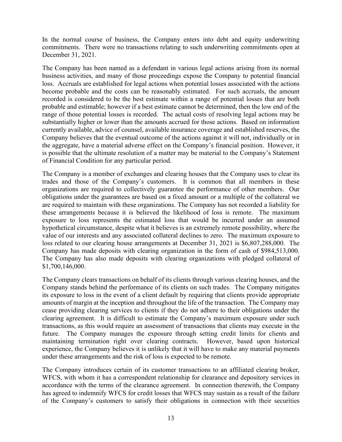commitments. There were no transactions relating to such underwriting commitments open at In the normal course of business, the Company enters into debt and equity underwriting December 31, 2021.

 range of those potential losses is recorded. The actual costs of resolving legal actions may be the aggregate, have a material adverse effect on the Company's financial position. However, it is possible that the ultimate resolution of a matter may be material to the Company's Statement The Company has been named as a defendant in various legal actions arising from its normal business activities, and many of those proceedings expose the Company to potential financial loss. Accruals are established for legal actions when potential losses associated with the actions become probable and the costs can be reasonably estimated. For such accruals, the amount recorded is considered to be the best estimate within a range of potential losses that are both probable and estimable; however if a best estimate cannot be determined, then the low end of the substantially higher or lower than the amounts accrued for those actions. Based on information currently available, advice of counsel, available insurance coverage and established reserves, the Company believes that the eventual outcome of the actions against it will not, individually or in of Financial Condition for any particular period.

 trades and those of the Company's customers. It is common that all members in these value of our interests and any associated collateral declines to zero. The maximum exposure to The Company is a member of exchanges and clearing houses that the Company uses to clear its organizations are required to collectively guarantee the performance of other members. Our obligations under the guarantees are based on a fixed amount or a multiple of the collateral we are required to maintain with these organizations. The Company has not recorded a liability for these arrangements because it is believed the likelihood of loss is remote. The maximum exposure to loss represents the estimated loss that would be incurred under an assumed hypothetical circumstance, despite what it believes is an extremely remote possibility, where the loss related to our clearing house arrangements at December 31, 2021 is \$6,807,288,000. The Company has made deposits with clearing organization in the form of cash of \$984,513,000. The Company has also made deposits with clearing organizations with pledged collateral of \$1,700,146,000.

 Company stands behind the performance of its clients on such trades. The Company mitigates clearing agreement. It is difficult to estimate the Company's maximum exposure under such The Company clears transactions on behalf of its clients through various clearing houses, and the its exposure to loss in the event of a client default by requiring that clients provide appropriate amounts of margin at the inception and throughout the life of the transaction. The Company may cease providing clearing services to clients if they do not adhere to their obligations under the transactions, as this would require an assessment of transactions that clients may execute in the future. The Company manages the exposure through setting credit limits for clients and maintaining termination right over clearing contracts. However, based upon historical experience, the Company believes it is unlikely that it will have to make any material payments under these arrangements and the risk of loss is expected to be remote.

The Company introduces certain of its customer transactions to an affiliated clearing broker, WFCS, with whom it has a correspondent relationship for clearance and depository services in accordance with the terms of the clearance agreement. In connection therewith, the Company has agreed to indemnify WFCS for credit losses that WFCS may sustain as a result of the failure of the Company's customers to satisfy their obligations in connection with their securities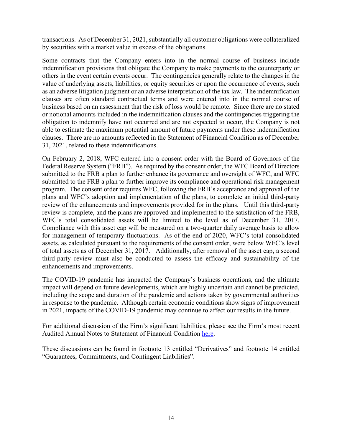by securities with a market value in excess of the obligations. transactions. As of December 31, 2021, substantially all customer obligations were collateralized

 value of underlying assets, liabilities, or equity securities or upon the occurrence of events, such as an adverse litigation judgment or an adverse interpretation of the tax law. The indemnification or notional amounts included in the indemnification clauses and the contingencies triggering the Some contracts that the Company enters into in the normal course of business include indemnification provisions that obligate the Company to make payments to the counterparty or others in the event certain events occur. The contingencies generally relate to the changes in the clauses are often standard contractual terms and were entered into in the normal course of business based on an assessment that the risk of loss would be remote. Since there are no stated obligation to indemnify have not occurred and are not expected to occur, the Company is not able to estimate the maximum potential amount of future payments under these indemnification clauses. There are no amounts reflected in the Statement of Financial Condition as of December 31, 2021, related to these indemnifications.

 submitted to the FRB a plan to further enhance its governance and oversight of WFC, and WFC review of the enhancements and improvements provided for in the plans. Until this third-party WFC's total consolidated assets will be limited to the level as of December 31, 2017. of total assets as of December 31, 2017. Additionally, after removal of the asset cap, a second On February 2, 2018, WFC entered into a consent order with the Board of Governors of the Federal Reserve System ("FRB"). As required by the consent order, the WFC Board of Directors submitted to the FRB a plan to further improve its compliance and operational risk management program. The consent order requires WFC, following the FRB's acceptance and approval of the plans and WFC's adoption and implementation of the plans, to complete an initial third-party review is complete, and the plans are approved and implemented to the satisfaction of the FRB, Compliance with this asset cap will be measured on a two-quarter daily average basis to allow for management of temporary fluctuations. As of the end of 2020, WFC's total consolidated assets, as calculated pursuant to the requirements of the consent order, were below WFC's level third-party review must also be conducted to assess the efficacy and sustainability of the enhancements and improvements.

The COVID-19 pandemic has impacted the Company's business operations, and the ultimate impact will depend on future developments, which are highly uncertain and cannot be predicted, including the scope and duration of the pandemic and actions taken by governmental authorities in response to the pandemic. Although certain economic conditions show signs of improvement in 2021, impacts of the COVID-19 pandemic may continue to affect our results in the future.

For additional discussion of the Firm's significant liabilities, please see the Firm's most recent Audited Annual Notes to Statement of Financial Condition [here.](https://www.wellsfargo.com/com/securities/markets/clearing-services/fcm-disclosures)

These discussions can be found in footnote 13 entitled "Derivatives" and footnote 14 entitled "Guarantees, Commitments, and Contingent Liabilities".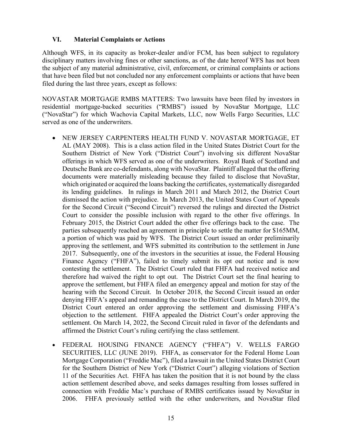#### <span id="page-14-0"></span>**VI. Material Complaints or Actions**

 that have been filed but not concluded nor any enforcement complaints or actions that have been filed during the last three years, except as follows: Although WFS, in its capacity as broker-dealer and/or FCM, has been subject to regulatory disciplinary matters involving fines or other sanctions, as of the date hereof WFS has not been the subject of any material administrative, civil, enforcement, or criminal complaints or actions

NOVASTAR MORTGAGE RMBS MATTERS: Two lawsuits have been filed by investors in residential mortgage-backed securities ("RMBS") issued by NovaStar Mortgage, LLC ("NovaStar") for which Wachovia Capital Markets, LLC, now Wells Fargo Securities, LLC served as one of the underwriters.

- AL (MAY 2008). This is a class action filed in the United States District Court for the Deutsche Bank are co-defendants, along with NovaStar. Plaintiff alleged that the offering • NEW JERSEY CARPENTERS HEALTH FUND V. NOVASTAR MORTGAGE, ET Southern District of New York ("District Court") involving six different NovaStar offerings in which WFS served as one of the underwriters. Royal Bank of Scotland and documents were materially misleading because they failed to disclose that NovaStar, which originated or acquired the loans backing the certificates, systematically disregarded its lending guidelines. In rulings in March 2011 and March 2012, the District Court dismissed the action with prejudice. In March 2013, the United States Court of Appeals for the Second Circuit ("Second Circuit") reversed the rulings and directed the District Court to consider the possible inclusion with regard to the other five offerings. In February 2015, the District Court added the other five offerings back to the case. The parties subsequently reached an agreement in principle to settle the matter for \$165MM, a portion of which was paid by WFS. The District Court issued an order preliminarily approving the settlement, and WFS submitted its contribution to the settlement in June 2017. Subsequently, one of the investors in the securities at issue, the Federal Housing Finance Agency ("FHFA"), failed to timely submit its opt out notice and is now contesting the settlement. The District Court ruled that FHFA had received notice and therefore had waived the right to opt out. The District Court set the final hearing to approve the settlement, but FHFA filed an emergency appeal and motion for stay of the hearing with the Second Circuit. In October 2018, the Second Circuit issued an order denying FHFA's appeal and remanding the case to the District Court. In March 2019, the District Court entered an order approving the settlement and dismissing FHFA's objection to the settlement. FHFA appealed the District Court's order approving the settlement. On March 14, 2022, the Second Circuit ruled in favor of the defendants and affirmed the District Court's ruling certifying the class settlement.
- • FEDERAL HOUSING FINANCE AGENCY ("FHFA") V. WELLS FARGO 11 of the Securities Act. FHFA has taken the position that it is not bound by the class SECURITIES, LLC (JUNE 2019). FHFA, as conservator for the Federal Home Loan Mortgage Corporation ("Freddie Mac"), filed a lawsuit in the United States District Court for the Southern District of New York ("District Court") alleging violations of Section action settlement described above, and seeks damages resulting from losses suffered in connection with Freddie Mac's purchase of RMBS certificates issued by NovaStar in 2006. FHFA previously settled with the other underwriters, and NovaStar filed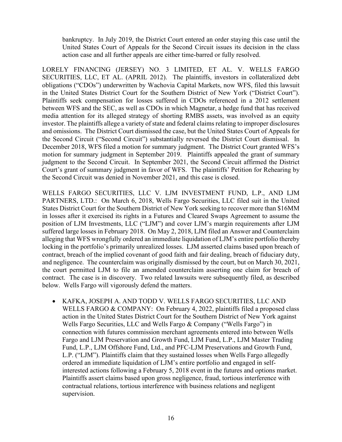bankruptcy. In July 2019, the District Court entered an order staying this case until the United States Court of Appeals for the Second Circuit issues its decision in the class action case and all further appeals are either time-barred or fully resolved.

 SECURITIES, LLC, ET AL. (APRIL 2012). The plaintiffs, investors in collateralized debt in the United States District Court for the Southern District of New York ("District Court"). and omissions. The District Court dismissed the case, but the United States Court of Appeals for the Second Circuit ("Second Circuit") substantially reversed the District Court dismissal. In December 2018, WFS filed a motion for summary judgment. The District Court granted WFS's motion for summary judgment in September 2019. Plaintiffs appealed the grant of summary judgment to the Second Circuit. In September 2021, the Second Circuit affirmed the District LORELY FINANCING (JERSEY) NO. 3 LIMITED, ET AL. V. WELLS FARGO obligations ("CDOs") underwritten by Wachovia Capital Markets, now WFS, filed this lawsuit Plaintiffs seek compensation for losses suffered in CDOs referenced in a 2012 settlement between WFS and the SEC, as well as CDOs in which Magnetar, a hedge fund that has received media attention for its alleged strategy of shorting RMBS assets, was involved as an equity investor. The plaintiffs allege a variety of state and federal claims relating to improper disclosures Court's grant of summary judgment in favor of WFS. The plaintiffs' Petition for Rehearing by the Second Circuit was denied in November 2021, and this case is closed.

 PARTNERS, LTD.: On March 6, 2018, Wells Fargo Securities, LLC filed suit in the United locking in the portfolio's primarily unrealized losses. LJM asserted claims based upon breach of contract. The case is in discovery. Two related lawsuits were subsequently filed, as described WELLS FARGO SECURITIES, LLC V. LJM INVESTMENT FUND, L.P., AND LJM States District Court for the Southern District of New York seeking to recover more than \$16MM in losses after it exercised its rights in a Futures and Cleared Swaps Agreement to assume the position of LJM Investments, LLC ("LJM") and cover LJM's margin requirements after LJM suffered large losses in February 2018. On May 2, 2018, LJM filed an Answer and Counterclaim alleging that WFS wrongfully ordered an immediate liquidation of LJM's entire portfolio thereby contract, breach of the implied covenant of good faith and fair dealing, breach of fiduciary duty, and negligence. The counterclaim was originally dismissed by the court, but on March 30, 2021, the court permitted LJM to file an amended counterclaim asserting one claim for breach of below. Wells Fargo will vigorously defend the matters.

 L.P. ("LJM"). Plaintiffs claim that they sustained losses when Wells Fargo allegedly • KAFKA, JOSEPH A. AND TODD V. WELLS FARGO SECURITIES, LLC AND WELLS FARGO & COMPANY: On February 4, 2022, plaintiffs filed a proposed class action in the United States District Court for the Southern District of New York against Wells Fargo Securities, LLC and Wells Fargo & Company ("Wells Fargo") in connection with futures commission merchant agreements entered into between Wells Fargo and LJM Preservation and Growth Fund, LJM Fund, L.P., LJM Master Trading Fund, L.P., LJM Offshore Fund, Ltd., and PFC-LJM Preservations and Growth Fund, ordered an immediate liquidation of LJM's entire portfolio and engaged in selfinterested actions following a February 5, 2018 event in the futures and options market. Plaintiffs assert claims based upon gross negligence, fraud, tortious interference with contractual relations, tortious interference with business relations and negligent supervision.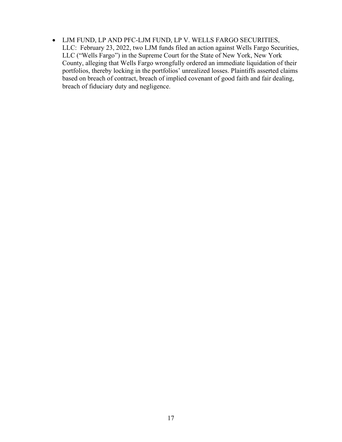• LJM FUND, LP AND PFC-LJM FUND, LP V. WELLS FARGO SECURITIES, LLC: February 23, 2022, two LJM funds filed an action against Wells Fargo Securities, LLC ("Wells Fargo") in the Supreme Court for the State of New York, New York County, alleging that Wells Fargo wrongfully ordered an immediate liquidation of their portfolios, thereby locking in the portfolios' unrealized losses. Plaintiffs asserted claims based on breach of contract, breach of implied covenant of good faith and fair dealing, breach of fiduciary duty and negligence.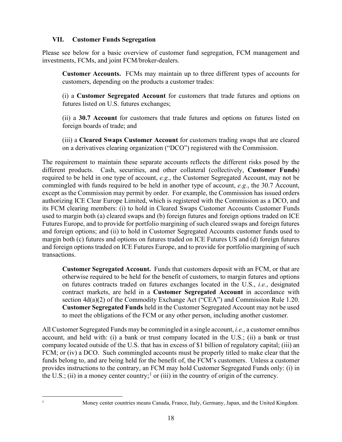#### <span id="page-17-0"></span>**VII. Customer Funds Segregation**

Please see below for a basic overview of customer fund segregation, FCM management and investments, FCMs, and joint FCM/broker-dealers.

 **Customer Accounts.** FCMs may maintain up to three different types of accounts for customers, depending on the products a customer trades:

customers, depending on the products a customer trades: (i) a **Customer Segregated Account** for customers that trade futures and options on futures listed on U.S. futures exchanges;

(ii) a **30.7 Account** for customers that trade futures and options on futures listed on foreign boards of trade; and

(iii) a **Cleared Swaps Customer Account** for customers trading swaps that are cleared on a derivatives clearing organization ("DCO") registered with the Commission.

 used to margin both (a) cleared swaps and (b) foreign futures and foreign options traded on ICE and foreign options; and (ii) to hold in Customer Segregated Accounts customer funds used to margin both (c) futures and options on futures traded on ICE Futures US and (d) foreign futures The requirement to maintain these separate accounts reflects the different risks posed by the different products. Cash, securities, and other collateral (collectively, **Customer Funds**) required to be held in one type of account, *e.g.*, the Customer Segregated Account, may not be commingled with funds required to be held in another type of account, *e.g.*, the 30.7 Account, except as the Commission may permit by order. For example, the Commission has issued orders authorizing ICE Clear Europe Limited, which is registered with the Commission as a DCO, and its FCM clearing members: (i) to hold in Cleared Swaps Customer Accounts Customer Funds Futures Europe, and to provide for portfolio margining of such cleared swaps and foreign futures and foreign options traded on ICE Futures Europe, and to provide for portfolio margining of such transactions.

 **Customer Segregated Account.** Funds that customers deposit with an FCM, or that are section 4d(a)(2) of the Commodity Exchange Act ("CEA") and Commission Rule 1.20. otherwise required to be held for the benefit of customers, to margin futures and options on futures contracts traded on futures exchanges located in the U.S., *i.e.*, designated contract markets, are held in a **Customer Segregated Account** in accordance with **Customer Segregated Funds** held in the Customer Segregated Account may not be used to meet the obligations of the FCM or any other person, including another customer.

 All Customer Segregated Funds may be commingled in a single account, *i.e.*, a customer omnibus company located outside of the U.S. that has in excess of \$1 billion of regulatory capital; (iii) an account, and held with: (i) a bank or trust company located in the U.S.; (ii) a bank or trust FCM; or (iv) a DCO. Such commingled accounts must be properly titled to make clear that the funds belong to, and are being held for the benefit of, the FCM's customers. Unless a customer provides instructions to the contrary, an FCM may hold Customer Segregated Funds only: (i) in the U.S.; (ii) in a money center country;<sup>[1](#page-17-1)</sup> or (iii) in the country of origin of the currency.

<span id="page-17-1"></span>1

Money center countries means Canada, France, Italy, Germany, Japan, and the United Kingdom.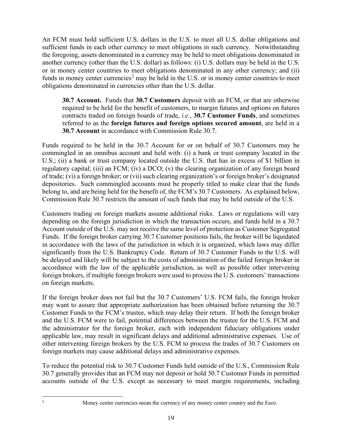An FCM must hold sufficient U.S. dollars in the U.S. to meet all U.S. dollar obligations and sufficient funds in each other currency to meet obligations in such currency. Notwithstanding the foregoing, assets denominated in a currency may be held to meet obligations denominated in another currency (other than the U.S. dollar) as follows: (i) U.S. dollars may be held in the U.S. or in money center countries to meet obligations denominated in any other currency; and (ii) funds in money center currencies<sup>2</sup> may be held in the U.S. or in money center countries to meet obligations denominated in currencies other than the U.S. dollar.

 **30.7 Account.** Funds that **30.7 Customers** deposit with an FCM, or that are otherwise referred to as the **foreign futures and foreign options secured amount**, are held in a required to be held for the benefit of customers, to margin futures and options on futures contracts traded on foreign boards of trade, *i.e.*, **30.7 Customer Funds**, and sometimes **30.7 Account** in accordance with Commission Rule 30.7.

 Funds required to be held in the 30.7 Account for or on behalf of 30.7 Customers may be commingled in an omnibus account and held with: (i) a bank or trust company located in the U.S.; (ii) a bank or trust company located outside the U.S. that has in excess of \$1 billion in regulatory capital; (iii) an FCM; (iv) a DCO; (v) the clearing organization of any foreign board of trade; (vi) a foreign broker; or (vii) such clearing organization's or foreign broker's designated depositories. Such commingled accounts must be properly titled to make clear that the funds belong to, and are being held for the benefit of, the FCM's 30.7 Customers. As explained below, Commission Rule 30.7 restricts the amount of such funds that may be held outside of the U.S.

Customers trading on foreign markets assume additional risks. Laws or regulations will vary depending on the foreign jurisdiction in which the transaction occurs, and funds held in a 30.7 Account outside of the U.S. may not receive the same level of protection as Customer Segregated Funds. If the foreign broker carrying 30.7 Customer positions fails, the broker will be liquidated in accordance with the laws of the jurisdiction in which it is organized, which laws may differ significantly from the U.S. Bankruptcy Code. Return of 30.7 Customer Funds to the U.S. will be delayed and likely will be subject to the costs of administration of the failed foreign broker in accordance with the law of the applicable jurisdiction, as well as possible other intervening foreign brokers, if multiple foreign brokers were used to process the U.S. customers' transactions on foreign markets.

 may want to assure that appropriate authorization has been obtained before returning the 30.7 Customer Funds to the FCM's trustee, which may delay their return. If both the foreign broker applicable law, may result in significant delays and additional administrative expenses. Use of If the foreign broker does not fail but the 30.7 Customers' U.S. FCM fails, the foreign broker and the U.S. FCM were to fail, potential differences between the trustee for the U.S. FCM and the administrator for the foreign broker, each with independent fiduciary obligations under other intervening foreign brokers by the U.S. FCM to process the trades of 30.7 Customers on foreign markets may cause additional delays and administrative expenses.

To reduce the potential risk to 30.7 Customer Funds held outside of the U.S., Commission Rule 30.7 generally provides that an FCM may not deposit or hold 30.7 Customer Funds in permitted accounts outside of the U.S. except as necessary to meet margin requirements, including

<span id="page-18-0"></span>2

Money center currencies mean the currency of any money center country and the Euro.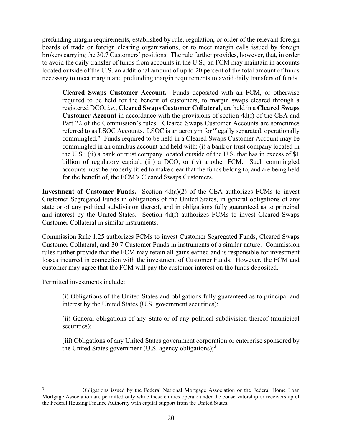prefunding margin requirements, established by rule, regulation, or order of the relevant foreign boards of trade or foreign clearing organizations, or to meet margin calls issued by foreign brokers carrying the 30.7 Customers' positions. The rule further provides, however, that, in order to avoid the daily transfer of funds from accounts in the U.S., an FCM may maintain in accounts located outside of the U.S. an additional amount of up to 20 percent of the total amount of funds necessary to meet margin and prefunding margin requirements to avoid daily transfers of funds.

 **Cleared Swaps Customer Account.** Funds deposited with an FCM, or otherwise **Customer Account** in accordance with the provisions of section 4d(f) of the CEA and required to be held for the benefit of customers, to margin swaps cleared through a registered DCO, *i.e.*, **Cleared Swaps Customer Collateral**, are held in a **Cleared Swaps**  Part 22 of the Commission's rules. Cleared Swaps Customer Accounts are sometimes referred to as LSOC Accounts. LSOC is an acronym for "legally separated, operationally commingled." Funds required to be held in a Cleared Swaps Customer Account may be commingled in an omnibus account and held with: (i) a bank or trust company located in the U.S.; (ii) a bank or trust company located outside of the U.S. that has in excess of \$1 billion of regulatory capital; (iii) a DCO; or (iv) another FCM. Such commingled accounts must be properly titled to make clear that the funds belong to, and are being held for the benefit of, the FCM's Cleared Swaps Customers.

**Investment of Customer Funds.** Section  $4d(a)(2)$  of the CEA authorizes FCMs to invest Customer Collateral in similar instruments. Customer Segregated Funds in obligations of the United States, in general obligations of any state or of any political subdivision thereof, and in obligations fully guaranteed as to principal and interest by the United States. Section 4d(f) authorizes FCMs to invest Cleared Swaps

 losses incurred in connection with the investment of Customer Funds. However, the FCM and Commission Rule 1.25 authorizes FCMs to invest Customer Segregated Funds, Cleared Swaps Customer Collateral, and 30.7 Customer Funds in instruments of a similar nature. Commission rules further provide that the FCM may retain all gains earned and is responsible for investment customer may agree that the FCM will pay the customer interest on the funds deposited.

Permitted investments include:

(i) Obligations of the United States and obligations fully guaranteed as to principal and interest by the United States (U.S. government securities);

(ii) General obligations of any State or of any political subdivision thereof (municipal securities);

(iii) Obligations of any United States government corporation or enterprise sponsored by the United States government (U.S. agency obligations);<sup>[3](#page-19-0)</sup>

<span id="page-19-0"></span> 3 Obligations issued by the Federal National Mortgage Association or the Federal Home Loan Mortgage Association are permitted only while these entities operate under the conservatorship or receivership of the Federal Housing Finance Authority with capital support from the United States.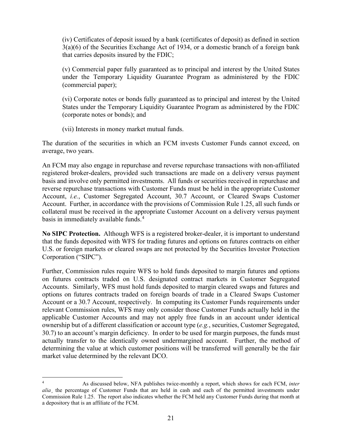that carries deposits insured by the FDIC; (iv) Certificates of deposit issued by a bank (certificates of deposit) as defined in section 3(a)(6) of the Securities Exchange Act of 1934, or a domestic branch of a foreign bank

(v) Commercial paper fully guaranteed as to principal and interest by the United States under the Temporary Liquidity Guarantee Program as administered by the FDIC (commercial paper);

 States under the Temporary Liquidity Guarantee Program as administered by the FDIC (vi) Corporate notes or bonds fully guaranteed as to principal and interest by the United (corporate notes or bonds); and

(vii) Interests in money market mutual funds.

The duration of the securities in which an FCM invests Customer Funds cannot exceed, on average, two years.

basis in immediately available funds.<sup>[4](#page-20-0)</sup> An FCM may also engage in repurchase and reverse repurchase transactions with non-affiliated registered broker-dealers, provided such transactions are made on a delivery versus payment basis and involve only permitted investments. All funds or securities received in repurchase and reverse repurchase transactions with Customer Funds must be held in the appropriate Customer Account, *i.e.*, Customer Segregated Account, 30.7 Account, or Cleared Swaps Customer Account. Further, in accordance with the provisions of Commission Rule 1.25, all such funds or collateral must be received in the appropriate Customer Account on a delivery versus payment

**No SIPC Protection.** Although WFS is a registered broker-dealer, it is important to understand that the funds deposited with WFS for trading futures and options on futures contracts on either U.S. or foreign markets or cleared swaps are not protected by the Securities Investor Protection Corporation ("SIPC").

 Further, Commission rules require WFS to hold funds deposited to margin futures and options actually transfer to the identically owned undermargined account. Further, the method of market value determined by the relevant DCO. on futures contracts traded on U.S. designated contract markets in Customer Segregated Accounts. Similarly, WFS must hold funds deposited to margin cleared swaps and futures and options on futures contracts traded on foreign boards of trade in a Cleared Swaps Customer Account or a 30.7 Account, respectively. In computing its Customer Funds requirements under relevant Commission rules, WFS may only consider those Customer Funds actually held in the applicable Customer Accounts and may not apply free funds in an account under identical ownership but of a different classification or account type (*e.g.*, securities, Customer Segregated, 30.7) to an account's margin deficiency. In order to be used for margin purposes, the funds must determining the value at which customer positions will be transferred will generally be the fair

<span id="page-20-0"></span> 4 As discussed below, NFA publishes twice-monthly a report, which shows for each FCM, *inter alia*¸ the percentage of Customer Funds that are held in cash and each of the permitted investments under Commission Rule 1.25. The report also indicates whether the FCM held any Customer Funds during that month at a depository that is an affiliate of the FCM.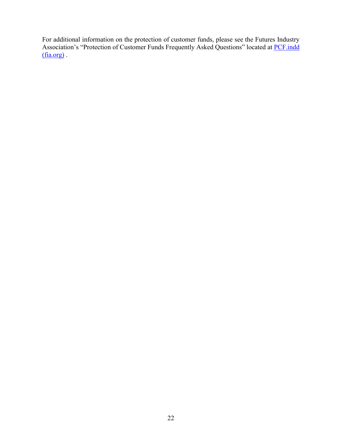For additional information on the protection of customer funds, please see the Futures Industry Association's "Protection of Customer Funds Frequently Asked Questions" located at **PCF**.indd  $(fia.org)$ .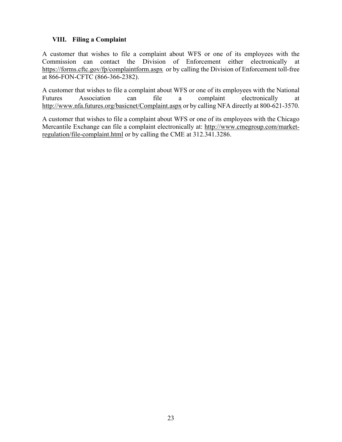#### <span id="page-22-0"></span>**VIII. Filing a Complaint**

 Commission can contact the Division of Enforcement either electronically at <https://forms.cftc.gov/fp/complaintform.aspx>or by calling the Division of Enforcement toll-free A customer that wishes to file a complaint about WFS or one of its employees with the at 866-FON-CFTC (866-366-2382).

A customer that wishes to file a complaint about WFS or one of its employees with the National Futures Association can file a complaint electronically at [http://www.nfa.futures.org/basicnet/Complaint.aspx o](http://www.nfa.futures.org/basicnet/Complaint.aspx)r by calling NFA directly at 800-621-3570.

A customer that wishes to file a complaint about WFS or one of its employees with the Chicago Mercantile Exchange can file a complaint electronically at: [http://www.cmegroup.com/market](http://www.cmegroup.com/market-regulation/file-complaint.html)[regulation/file-complaint.html](https://www.cmegroup.com/market-regulation/file-complaint.html) or by calling the CME at 312.341.3286.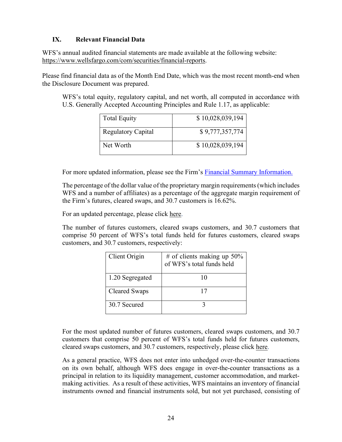#### <span id="page-23-0"></span>**IX. Relevant Financial Data**

WFS's annual audited financial statements are made available at the following website: [https://www.wellsfargo.com/com/securities/financial-reports.](https://www.wellsfargo.com/com/securities/financial-reports)

Please find financial data as of the Month End Date, which was the most recent month-end when the Disclosure Document was prepared.

WFS's total equity, regulatory capital, and net worth, all computed in accordance with U.S. Generally Accepted Accounting Principles and Rule 1.17, as applicable:

| <b>Total Equity</b>       | \$10,028,039,194 |
|---------------------------|------------------|
| <b>Regulatory Capital</b> | \$9,777,357,774  |
| Net Worth                 | \$10,028,039,194 |

For more updated information, please see the Firm's [Financial Summary Information.](https://www.wellsfargo.com/com/securities/markets/clearing-services/fcm-disclosures) 

 the Firm's futures, cleared swaps, and 30.7 customers is 16.62%. The percentage of the dollar value of the proprietary margin requirements (which includes WFS and a number of affiliates) as a percentage of the aggregate margin requirement of

For an updated percentage, please click here.

The number of futures customers, cleared swaps customers, and 30.7 customers that comprise 50 percent of WFS's total funds held for futures customers, cleared swaps customers, and 30.7 customers, respectively:

| Client Origin   | # of clients making up $50\%$<br>of WFS's total funds held |
|-----------------|------------------------------------------------------------|
| 1.20 Segregated | 10                                                         |
| Cleared Swaps   | 17                                                         |
| 30.7 Secured    |                                                            |

For the most updated number of futures customers, cleared swaps customers, and 30.7 customers that comprise 50 percent of WFS's total funds held for futures customers, cleared swaps customers, and 30.7 customers, respectively, please click [here.](https://www08.wellsfargomedia.com/assets/pdf/commercial/securities/fcm-disclosures/monthly-supplemental-info.pdf)

As a general practice, WFS does not enter into unhedged over-the-counter transactions on its own behalf, although WFS does engage in over-the-counter transactions as a principal in relation to its liquidity management, customer accommodation, and marketmaking activities. As a result of these activities, WFS maintains an inventory of financial instruments owned and financial instruments sold, but not yet purchased, consisting of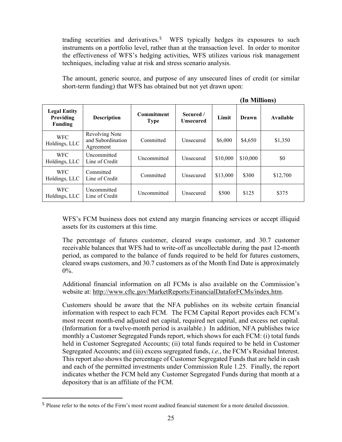trading securities and derivatives.<sup>[5](#page-24-0)</sup> WFS typically hedges its exposures to such instruments on a portfolio level, rather than at the transaction level. In order to monitor the effectiveness of WFS's hedging activities, WFS utilizes various risk management techniques, including value at risk and stress scenario analysis.

The amount, generic source, and purpose of any unsecured lines of credit (or similar short-term funding) that WFS has obtained but not yet drawn upon:

|                                                    |                                                         |                                  | (In Millions)                 |          |          |           |
|----------------------------------------------------|---------------------------------------------------------|----------------------------------|-------------------------------|----------|----------|-----------|
| <b>Legal Entity</b><br>Providing<br><b>Funding</b> | <b>Description</b>                                      | <b>Commitment</b><br><b>Type</b> | Secured /<br><b>Unsecured</b> | Limit    | Drawn    | Available |
| <b>WFC</b><br>Holdings, LLC                        | <b>Revolving Note</b><br>and Subordination<br>Agreement | Committed                        | <b>Unsecured</b>              | \$6,000  | \$4,650  | \$1,350   |
| <b>WFC</b><br>Holdings, LLC                        | Uncommitted<br>Line of Credit                           | Uncommitted                      | Unsecured                     | \$10,000 | \$10,000 | \$0       |
| <b>WFC</b><br>Holdings, LLC                        | Committed<br>Line of Credit                             | Committed                        | Unsecured                     | \$13,000 | \$300    | \$12,700  |
| <b>WFC</b><br>Holdings, LLC                        | Uncommitted<br>Line of Credit                           | Uncommitted                      | Unsecured                     | \$500    | \$125    | \$375     |

WFS's FCM business does not extend any margin financing services or accept illiquid assets for its customers at this time.

The percentage of futures customer, cleared swaps customer, and 30.7 customer receivable balances that WFS had to write-off as uncollectable during the past 12-month period, as compared to the balance of funds required to be held for futures customers, cleared swaps customers, and 30.7 customers as of the Month End Date is approximately  $0\%$ .

Additional financial information on all FCMs is also available on the Commission's website at: [http://www.cftc.gov/MarketReports/FinancialDataforFCMs/index.htm.](http://www.cftc.gov/MarketReports/FinancialDataforFCMs/index.htm)

 Customers should be aware that the NFA publishes on its website certain financial information with respect to each FCM. The FCM Capital Report provides each FCM's most recent month-end adjusted net capital, required net capital, and excess net capital. most recent month-end adjusted net capital, required net capital, and excess net capital. (Information for a twelve-month period is available.) In addition, NFA publishes twice Segregated Accounts; and (iii) excess segregated funds, *i.e.*, the FCM's Residual Interest. monthly a Customer Segregated Funds report, which shows for each FCM: (i) total funds held in Customer Segregated Accounts; (ii) total funds required to be held in Customer This report also shows the percentage of Customer Segregated Funds that are held in cash and each of the permitted investments under Commission Rule 1.25. Finally, the report indicates whether the FCM held any Customer Segregated Funds during that month at a depository that is an affiliate of the FCM.

<span id="page-24-0"></span><sup>5</sup> Please refer to the notes of the Firm's most recent audited financial statement for a more detailed discussion.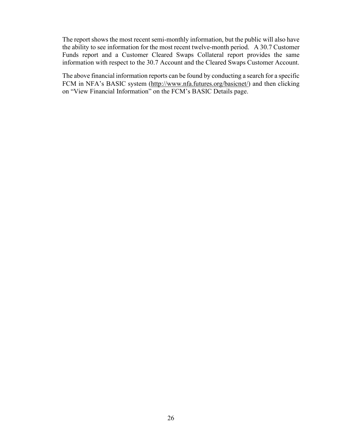The report shows the most recent semi-monthly information, but the public will also have the ability to see information for the most recent twelve-month period. A 30.7 Customer Funds report and a Customer Cleared Swaps Collateral report provides the same information with respect to the 30.7 Account and the Cleared Swaps Customer Account.

 on "View Financial Information" on the FCM's BASIC Details page. The above financial information reports can be found by conducting a search for a specific FCM in NFA's BASIC system [\(http://www.nfa.futures.org/basicnet/\)](http://www.nfa.futures.org/basicnet/) and then clicking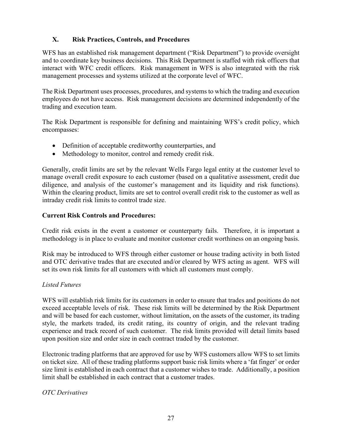#### **X. Risk Practices, Controls, and Procedures**

 interact with WFC credit officers. Risk management in WFS is also integrated with the risk WFS has an established risk management department ("Risk Department") to provide oversight and to coordinate key business decisions. This Risk Department is staffed with risk officers that management processes and systems utilized at the corporate level of WFC.

The Risk Department uses processes, procedures, and systems to which the trading and execution employees do not have access. Risk management decisions are determined independently of the trading and execution team.

The Risk Department is responsible for defining and maintaining WFS's credit policy, which encompasses:

- Definition of acceptable creditworthy counterparties, and
- Methodology to monitor, control and remedy credit risk.

Generally, credit limits are set by the relevant Wells Fargo legal entity at the customer level to manage overall credit exposure to each customer (based on a qualitative assessment, credit due diligence, and analysis of the customer's management and its liquidity and risk functions). Within the clearing product, limits are set to control overall credit risk to the customer as well as intraday credit risk limits to control trade size.

#### **Current Risk Controls and Procedures:**

Credit risk exists in the event a customer or counterparty fails. Therefore, it is important a methodology is in place to evaluate and monitor customer credit worthiness on an ongoing basis.

 and OTC derivative trades that are executed and/or cleared by WFS acting as agent. WFS will Risk may be introduced to WFS through either customer or house trading activity in both listed set its own risk limits for all customers with which all customers must comply.

#### *Listed Futures*

 experience and track record of such customer. The risk limits provided will detail limits based upon position size and order size in each contract traded by the customer. WFS will establish risk limits for its customers in order to ensure that trades and positions do not exceed acceptable levels of risk. These risk limits will be determined by the Risk Department and will be based for each customer, without limitation, on the assets of the customer, its trading style, the markets traded, its credit rating, its country of origin, and the relevant trading

Electronic trading platforms that are approved for use by WFS customers allow WFS to set limits on ticket size. All of these trading platforms support basic risk limits where a 'fat finger' or order size limit is established in each contract that a customer wishes to trade. Additionally, a position limit shall be established in each contract that a customer trades.

#### *OTC Derivatives*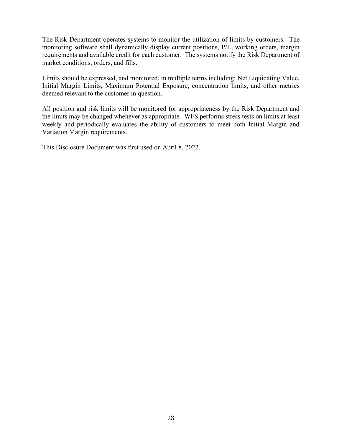The Risk Department operates systems to monitor the utilization of limits by customers. The monitoring software shall dynamically display current positions, P/L, working orders, margin requirements and available credit for each customer. The systems notify the Risk Department of market conditions, orders, and fills.

Limits should be expressed, and monitored, in multiple terms including: Net Liquidating Value, Initial Margin Limits, Maximum Potential Exposure, concentration limits, and other metrics deemed relevant to the customer in question.

All position and risk limits will be monitored for appropriateness by the Risk Department and the limits may be changed whenever as appropriate. WFS performs stress tests on limits at least weekly and periodically evaluates the ability of customers to meet both Initial Margin and Variation Margin requirements.

This Disclosure Document was first used on April 8, 2022.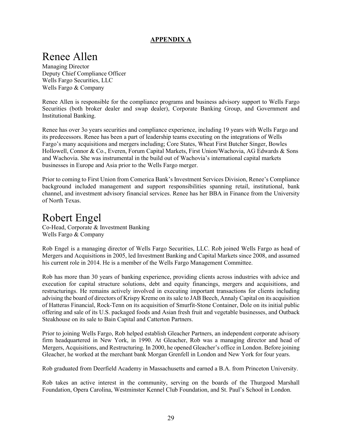#### **APPENDIX A**

### <span id="page-28-0"></span>Renee Allen

 Deputy Chief Compliance Officer Managing Director Wells Fargo Securities, LLC Wells Fargo & Company

**Institutional Banking.** Renee Allen is responsible for the compliance programs and business advisory support to Wells Fargo Securities (both broker dealer and swap dealer), Corporate Banking Group, and Government and

 Fargo's many acquisitions and mergers including; Core States, Wheat First Butcher Singer, Bowles Hollowell, Connor & Co., Everen, Forum Capital Markets, First Union/Wachovia, AG Edwards & Sons Renee has over 3o years securities and compliance experience, including 19 years with Wells Fargo and its predecessors. Renee has been a part of leadership teams executing on the integrations of Wells and Wachovia. She was instrumental in the build out of Wachovia's international capital markets businesses in Europe and Asia prior to the Wells Fargo merger.

 Prior to coming to First Union from Comerica Bank's Investment Services Division, Renee's Compliance background included management and support responsibilities spanning retail, institutional, bank channel, and investment advisory financial services. Renee has her BBA in Finance from the University of North Texas.

### Robert Engel

Co-Head, Corporate & Investment Banking Wells Fargo & Company

Rob Engel is a managing director of Wells Fargo Securities, LLC. Rob joined Wells Fargo as head of Mergers and Acquisitions in 2005, led Investment Banking and Capital Markets since 2008, and assumed his current role in 2014. He is a member of the Wells Fargo Management Committee.

 Rob has more than 30 years of banking experience, providing clients across industries with advice and restructurings. He remains actively involved in executing important transactions for clients including advising the board of directors of Krispy Kreme on its sale to JAB Beech, Annaly Capital on its acquisition execution for capital structure solutions, debt and equity financings, mergers and acquisitions, and of Hatteras Financial, Rock-Tenn on its acquisition of Smurfit-Stone Container, Dole on its initial public offering and sale of its U.S. packaged foods and Asian fresh fruit and vegetable businesses, and Outback Steakhouse on its sale to Bain Capital and Catterton Partners.

 Gleacher, he worked at the merchant bank Morgan Grenfell in London and New York for four years. Prior to joining Wells Fargo, Rob helped establish Gleacher Partners, an independent corporate advisory firm headquartered in New York, in 1990. At Gleacher, Rob was a managing director and head of Mergers, Acquisitions, and Restructuring. In 2000, he opened Gleacher's office in London. Before joining

Rob graduated from Deerfield Academy in Massachusetts and earned a B.A. from Princeton University.

 Rob takes an active interest in the community, serving on the boards of the Thurgood Marshall Foundation, Opera Carolina, Westminster Kennel Club Foundation, and St. Paul's School in London.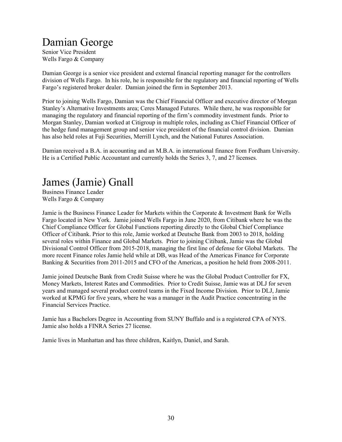### Damian George

Senior Vice President Wells Fargo & Company

 Damian George is a senior vice president and external financial reporting manager for the controllers division of Wells Fargo. In his role, he is responsible for the regulatory and financial reporting of Wells Fargo's registered broker dealer. Damian joined the firm in September 2013.

 Stanley's Alternative Investments area; Ceres Managed Futures. While there, he was responsible for managing the regulatory and financial reporting of the firm's commodity investment funds. Prior to Prior to joining Wells Fargo, Damian was the Chief Financial Officer and executive director of Morgan Morgan Stanley, Damian worked at Citigroup in multiple roles, including as Chief Financial Officer of the hedge fund management group and senior vice president of the financial control division. Damian has also held roles at Fuji Securities, Merrill Lynch, and the National Futures Association.

Damian received a B.A. in accounting and an M.B.A. in international finance from Fordham University. He is a Certified Public Accountant and currently holds the Series 3, 7, and 27 licenses.

# James (Jamie) Gnall Business Finance Leader

Wells Fargo & Company

 Fargo located in New York. Jamie joined Wells Fargo in June 2020, from Citibank where he was the several roles within Finance and Global Markets. Prior to joining Citibank, Jamie was the Global Divisional Control Officer from 2015-2018, managing the first line of defense for Global Markets. The Banking & Securities from 2011-2015 and CFO of the Americas, a position he held from 2008-2011. Jamie is the Business Finance Leader for Markets within the Corporate & Investment Bank for Wells Chief Compliance Officer for Global Functions reporting directly to the Global Chief Compliance Officer of Citibank. Prior to this role, Jamie worked at Deutsche Bank from 2003 to 2018, holding more recent Finance roles Jamie held while at DB, was Head of the Americas Finance for Corporate

 Jamie joined Deutsche Bank from Credit Suisse where he was the Global Product Controller for FX, Money Markets, Interest Rates and Commodities. Prior to Credit Suisse, Jamie was at DLJ for seven worked at KPMG for five years, where he was a manager in the Audit Practice concentrating in the years and managed several product control teams in the Fixed Income Division. Prior to DLJ, Jamie Financial Services Practice.

Jamie has a Bachelors Degree in Accounting from SUNY Buffalo and is a registered CPA of NYS. Jamie also holds a FINRA Series 27 license.

Jamie lives in Manhattan and has three children, Kaitlyn, Daniel, and Sarah.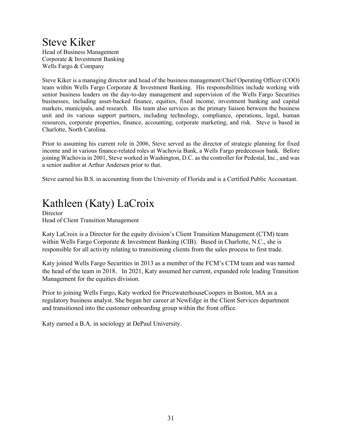### Steve Kiker

Head of Business Management Corporate & Investment Banking Wells Fargo & Company

 Steve Kiker is a managing director and head of the business management/Chief Operating Officer (COO) unit and its various support partners, including technology, compliance, operations, legal, human resources, corporate properties, finance, accounting, corporate marketing, and risk. Steve is based in team within Wells Fargo Corporate & Investment Banking. His responsibilities include working with senior business leaders on the day-to-day management and supervision of the Wells Fargo Securities businesses, including asset-backed finance, equities, fixed income, investment banking and capital markets, municipals, and research. His team also services as the primary liaison between the business Charlotte, North Carolina.

Prior to assuming his current role in 2006, Steve served as the director of strategic planning for fixed income and in various finance-related roles at Wachovia Bank, a Wells Fargo predecessor bank. Before joining Wachovia in 2001, Steve worked in Washington, D.C. as the controller for Pedestal, Inc., and was a senior auditor at Arthur Andersen prior to that.

Steve earned his B.S. in accounting from the University of Florida and is a Certified Public Accountant.

### Kathleen (Katy) LaCroix

**Director** Head of Client Transition Management

Katy LaCroix is a Director for the equity division's Client Transition Management (CTM) team within Wells Fargo Corporate & Investment Banking (CIB). Based in Charlotte, N.C., she is responsible for all activity relating to transitioning clients from the sales process to first trade.

Katy joined Wells Fargo Securities in 2013 as a member of the FCM's CTM team and was named the head of the team in 2018. In 2021, Katy assumed her current, expanded role leading Transition Management for the equities division.

 regulatory business analyst. She began her career at NewEdge in the Client Services department Prior to joining Wells Fargo, Katy worked for PricewaterhouseCoopers in Boston, MA as a and transitioned into the customer onboarding group within the front office.

Katy earned a B.A. in sociology at DePaul University.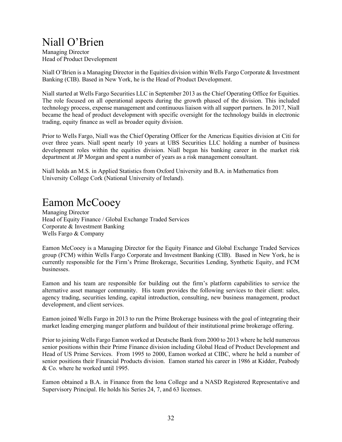### Niall O'Brien

Managing Director Head of Product Development

 Niall O'Brien is a Managing Director in the Equities division within Wells Fargo Corporate & Investment Banking (CIB). Based in New York, he is the Head of Product Development.

 The role focused on all operational aspects during the growth phased of the division. This included became the head of product development with specific oversight for the technology builds in electronic Niall started at Wells Fargo Securities LLC in September 2013 as the Chief Operating Office for Equities. technology process, expense management and continuous liaison with all support partners. In 2017, Niall trading, equity finance as well as broader equity division.

 over three years. Niall spent nearly 10 years at UBS Securities LLC holding a number of business Prior to Wells Fargo, Niall was the Chief Operating Officer for the Americas Equities division at Citi for development roles within the equities division. Niall began his banking career in the market risk department at JP Morgan and spent a number of years as a risk management consultant.

 Niall holds an M.S. in Applied Statistics from Oxford University and B.A. in Mathematics from University College Cork (National University of Ireland).

### Eamon McCooey

Managing Director Head of Equity Finance / Global Exchange Traded Services Corporate & Investment Banking Wells Fargo & Company

 Eamon McCooey is a Managing Director for the Equity Finance and Global Exchange Traded Services group (FCM) within Wells Fargo Corporate and Investment Banking (CIB). Based in New York, he is currently responsible for the Firm's Prime Brokerage, Securities Lending, Synthetic Equity, and FCM businesses.

 Eamon and his team are responsible for building out the firm's platform capabilities to service the development, and client services. alternative asset manager community. His team provides the following services to their client: sales, agency trading, securities lending, capital introduction, consulting, new business management, product

 market leading emerging manger platform and buildout of their institutional prime brokerage offering. Eamon joined Wells Fargo in 2013 to run the Prime Brokerage business with the goal of integrating their

 Prior to joining Wells Fargo Eamon worked at Deutsche Bank from 2000 to 2013 where he held numerous senior positions within their Prime Finance division including Global Head of Product Development and Head of US Prime Services. From 1995 to 2000, Eamon worked at CIBC, where he held a number of senior positions their Financial Products division. Eamon started his career in 1986 at Kidder, Peabody & Co. where he worked until 1995.

 Eamon obtained a B.A. in Finance from the Iona College and a NASD Registered Representative and Supervisory Principal. He holds his Series 24, 7, and 63 licenses.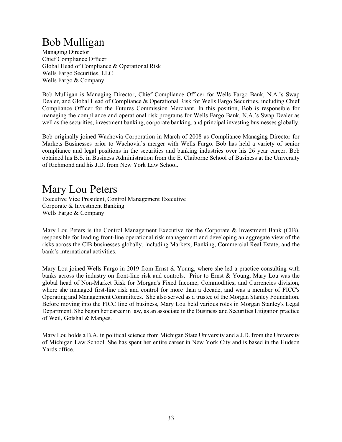### Bob Mulligan

Managing Director Chief Compliance Officer Global Head of Compliance & Operational Risk Wells Fargo Securities, LLC Wells Fargo & Company

Bob Mulligan is Managing Director, Chief Compliance Officer for Wells Fargo Bank, N.A.'s Swap Dealer, and Global Head of Compliance & Operational Risk for Wells Fargo Securities, including Chief Compliance Officer for the Futures Commission Merchant. In this position, Bob is responsible for managing the compliance and operational risk programs for Wells Fargo Bank, N.A.'s Swap Dealer as well as the securities, investment banking, corporate banking, and principal investing businesses globally.

 Bob originally joined Wachovia Corporation in March of 2008 as Compliance Managing Director for Markets Businesses prior to Wachovia's merger with Wells Fargo. Bob has held a variety of senior obtained his B.S. in Business Administration from the E. Claiborne School of Business at the University compliance and legal positions in the securities and banking industries over his 26 year career. Bob of Richmond and his J.D. from New York Law School.

### Mary Lou Peters

Executive Vice President, Control Management Executive Corporate & Investment Banking Wells Fargo & Company

 responsible for leading front-line operational risk management and developing an aggregate view of the risks across the ClB businesses globally, including Markets, Banking, Commercial Real Estate, and the bank's international activities. Mary Lou Peters is the Control Management Executive for the Corporate & Investment Bank (CIB),

 banks across the industry on front-line risk and controls. Prior to Ernst & Young, Mary Lou was the global head of Non-Market Risk for Morgan's Fixed Income, Commodities, and Currencies division, where she managed first-line risk and control for more than a decade, and was a member of FICC's Operating and Management Committees. She also served as a trustee of the Morgan Stanley Foundation. Department. She began her career in law, as an associate in the Business and Securities Litigation practice of Weil, Gotshal & Manges. Mary Lou joined Wells Fargo in 2019 from Ernst & Young, where she led a practice consulting with Before moving into the FICC line of business, Mary Lou held various roles in Morgan Stanley's Legal

 of Michigan Law School. She has spent her entire career in New York City and is based in the Hudson Mary Lou holds a B.A. in political science from Michigan State University and a J.D. from the University Yards office.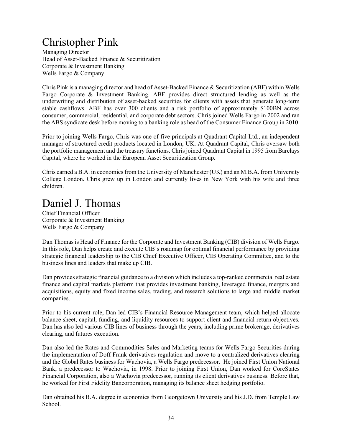### Christopher Pink

Managing Director Head of Asset-Backed Finance & Securitization Corporate & Investment Banking Wells Fargo & Company

Chris Pink is a managing director and head of Asset-Backed Finance & Securitization (ABF) within Wells Fargo Corporate & Investment Banking. ABF provides direct structured lending as well as the underwriting and distribution of asset-backed securities for clients with assets that generate long-term stable cashflows. ABF has over 300 clients and a risk portfolio of approximately \$100BN across consumer, commercial, residential, and corporate debt sectors. Chris joined Wells Fargo in 2002 and ran the ABS syndicate desk before moving to a banking role as head of the Consumer Finance Group in 2010.

 manager of structured credit products located in London, UK. At Quadrant Capital, Chris oversaw both Prior to joining Wells Fargo, Chris was one of five principals at Quadrant Capital Ltd., an independent the portfolio management and the treasury functions. Chris joined Quadrant Capital in 1995 from Barclays Capital, where he worked in the European Asset Securitization Group.

 Chris earned a B.A. in economics from the University of Manchester (UK) and an M.B.A. from University College London. Chris grew up in London and currently lives in New York with his wife and three children.

### Daniel J. Thomas

Chief Financial Officer Corporate & Investment Banking Wells Fargo & Company

 Dan Thomas is Head of Finance for the Corporate and Investment Banking (CIB) division of Wells Fargo. strategic financial leadership to the CIB Chief Executive Officer, CIB Operating Committee, and to the In this role, Dan helps create and execute CIB's roadmap for optimal financial performance by providing business lines and leaders that make up CIB.

Dan provides strategic financial guidance to a division which includes a top-ranked commercial real estate finance and capital markets platform that provides investment banking, leveraged finance, mergers and acquisitions, equity and fixed income sales, trading, and research solutions to large and middle market companies.

 Prior to his current role, Dan led CIB's Financial Resource Management team, which helped allocate balance sheet, capital, funding, and liquidity resources to support client and financial return objectives. Dan has also led various CIB lines of business through the years, including prime brokerage, derivatives clearing, and futures execution.

 and the Global Rates business for Wachovia, a Wells Fargo predecessor. He joined First Union National Dan also led the Rates and Commodities Sales and Marketing teams for Wells Fargo Securities during the implementation of Doff Frank derivatives regulation and move to a centralized derivatives clearing Bank, a predecessor to Wachovia, in 1998. Prior to joining First Union, Dan worked for CoreStates Financial Corporation, also a Wachovia predecessor, running its client derivatives business. Before that, he worked for First Fidelity Bancorporation, managing its balance sheet hedging portfolio.

Dan obtained his B.A. degree in economics from Georgetown University and his J.D. from Temple Law School.